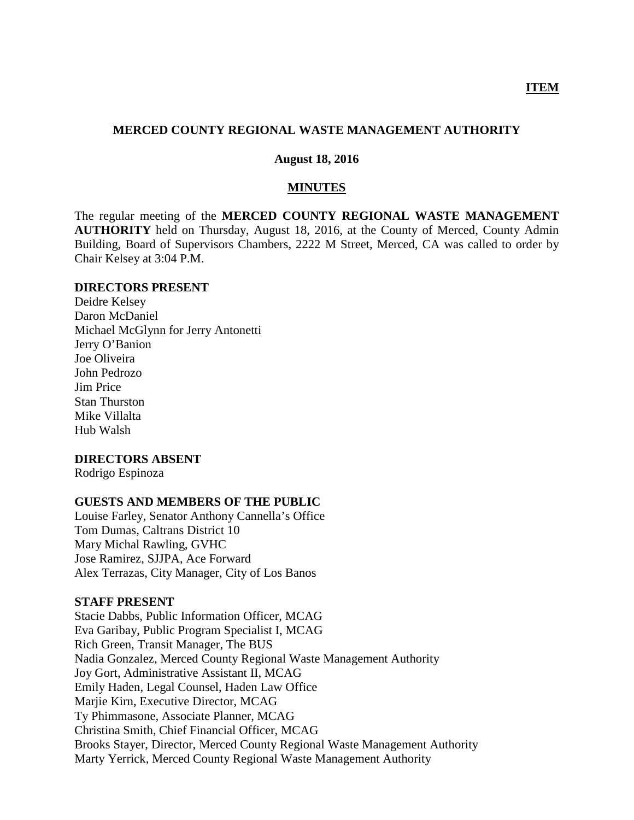#### **MERCED COUNTY REGIONAL WASTE MANAGEMENT AUTHORITY**

#### **August 18, 2016**

#### **MINUTES**

The regular meeting of the **MERCED COUNTY REGIONAL WASTE MANAGEMENT AUTHORITY** held on Thursday, August 18, 2016, at the County of Merced, County Admin Building, Board of Supervisors Chambers, 2222 M Street, Merced, CA was called to order by Chair Kelsey at 3:04 P.M.

#### **DIRECTORS PRESENT**

Deidre Kelsey Daron McDaniel Michael McGlynn for Jerry Antonetti Jerry O'Banion Joe Oliveira John Pedrozo Jim Price Stan Thurston Mike Villalta Hub Walsh

#### **DIRECTORS ABSENT**

Rodrigo Espinoza

#### **GUESTS AND MEMBERS OF THE PUBLIC**

Louise Farley, Senator Anthony Cannella's Office Tom Dumas, Caltrans District 10 Mary Michal Rawling, GVHC Jose Ramirez, SJJPA, Ace Forward Alex Terrazas, City Manager, City of Los Banos

#### **STAFF PRESENT**

Stacie Dabbs, Public Information Officer, MCAG Eva Garibay, Public Program Specialist I, MCAG Rich Green, Transit Manager, The BUS Nadia Gonzalez, Merced County Regional Waste Management Authority Joy Gort, Administrative Assistant II, MCAG Emily Haden, Legal Counsel, Haden Law Office Marjie Kirn, Executive Director, MCAG Ty Phimmasone, Associate Planner, MCAG Christina Smith, Chief Financial Officer, MCAG Brooks Stayer, Director, Merced County Regional Waste Management Authority Marty Yerrick, Merced County Regional Waste Management Authority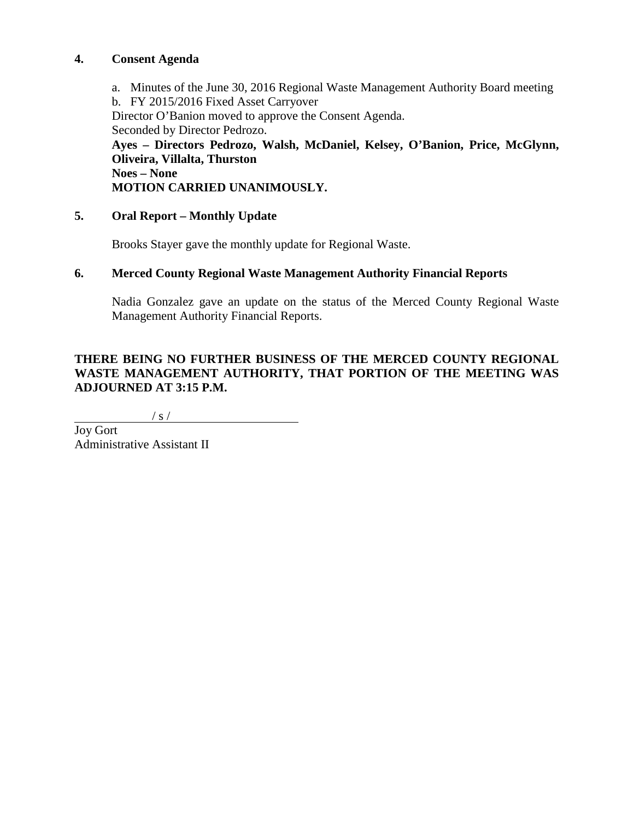## **4. Consent Agenda**

a. Minutes of the June 30, 2016 Regional Waste Management Authority Board meeting b. FY 2015/2016 Fixed Asset Carryover Director O'Banion moved to approve the Consent Agenda. Seconded by Director Pedrozo. **Ayes – Directors Pedrozo, Walsh, McDaniel, Kelsey, O'Banion, Price, McGlynn, Oliveira, Villalta, Thurston Noes – None MOTION CARRIED UNANIMOUSLY.**

# **5. Oral Report – Monthly Update**

Brooks Stayer gave the monthly update for Regional Waste.

## **6. Merced County Regional Waste Management Authority Financial Reports**

Nadia Gonzalez gave an update on the status of the Merced County Regional Waste Management Authority Financial Reports.

# **THERE BEING NO FURTHER BUSINESS OF THE MERCED COUNTY REGIONAL WASTE MANAGEMENT AUTHORITY, THAT PORTION OF THE MEETING WAS ADJOURNED AT 3:15 P.M.**

 $/ s /$ 

Joy Gort Administrative Assistant II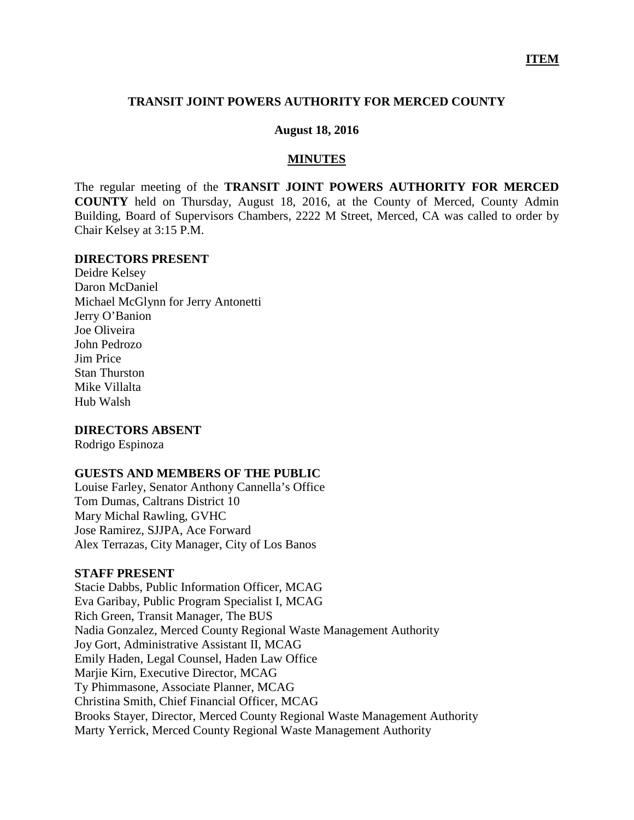### **TRANSIT JOINT POWERS AUTHORITY FOR MERCED COUNTY**

#### **August 18, 2016**

#### **MINUTES**

The regular meeting of the **TRANSIT JOINT POWERS AUTHORITY FOR MERCED COUNTY** held on Thursday, August 18, 2016, at the County of Merced, County Admin Building, Board of Supervisors Chambers, 2222 M Street, Merced, CA was called to order by Chair Kelsey at 3:15 P.M.

#### **DIRECTORS PRESENT**

Deidre Kelsey Daron McDaniel Michael McGlynn for Jerry Antonetti Jerry O'Banion Joe Oliveira John Pedrozo Jim Price Stan Thurston Mike Villalta Hub Walsh

#### **DIRECTORS ABSENT**

Rodrigo Espinoza

### **GUESTS AND MEMBERS OF THE PUBLIC**

Louise Farley, Senator Anthony Cannella's Office Tom Dumas, Caltrans District 10 Mary Michal Rawling, GVHC Jose Ramirez, SJJPA, Ace Forward Alex Terrazas, City Manager, City of Los Banos

#### **STAFF PRESENT**

Stacie Dabbs, Public Information Officer, MCAG Eva Garibay, Public Program Specialist I, MCAG Rich Green, Transit Manager, The BUS Nadia Gonzalez, Merced County Regional Waste Management Authority Joy Gort, Administrative Assistant II, MCAG Emily Haden, Legal Counsel, Haden Law Office Marjie Kirn, Executive Director, MCAG Ty Phimmasone, Associate Planner, MCAG Christina Smith, Chief Financial Officer, MCAG Brooks Stayer, Director, Merced County Regional Waste Management Authority Marty Yerrick, Merced County Regional Waste Management Authority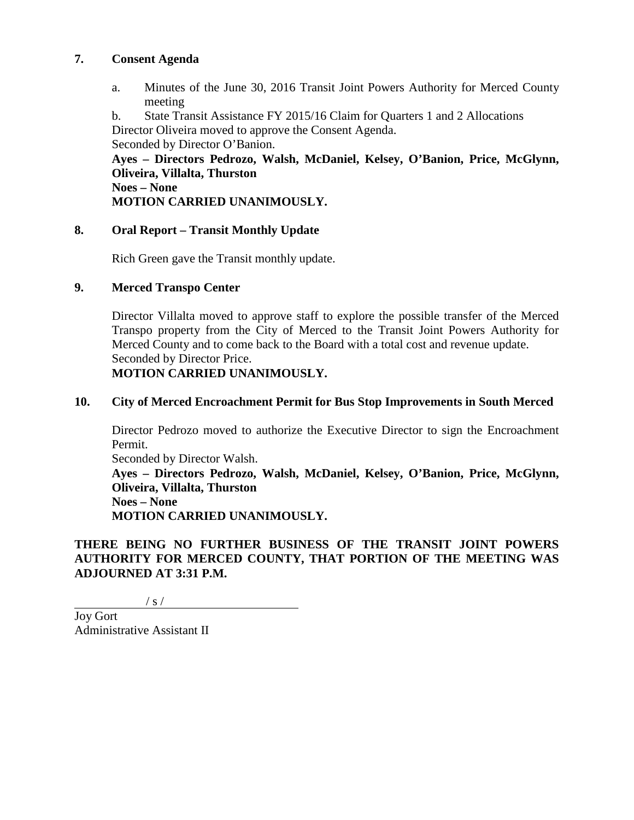## **7. Consent Agenda**

a. Minutes of the June 30, 2016 Transit Joint Powers Authority for Merced County meeting

b. State Transit Assistance FY 2015/16 Claim for Quarters 1 and 2 Allocations Director Oliveira moved to approve the Consent Agenda. Seconded by Director O'Banion.

**Ayes – Directors Pedrozo, Walsh, McDaniel, Kelsey, O'Banion, Price, McGlynn, Oliveira, Villalta, Thurston Noes – None MOTION CARRIED UNANIMOUSLY.**

# **8. Oral Report – Transit Monthly Update**

Rich Green gave the Transit monthly update.

# **9. Merced Transpo Center**

Director Villalta moved to approve staff to explore the possible transfer of the Merced Transpo property from the City of Merced to the Transit Joint Powers Authority for Merced County and to come back to the Board with a total cost and revenue update. Seconded by Director Price.

# **MOTION CARRIED UNANIMOUSLY.**

# **10. City of Merced Encroachment Permit for Bus Stop Improvements in South Merced**

Director Pedrozo moved to authorize the Executive Director to sign the Encroachment Permit.

Seconded by Director Walsh.

**Ayes – Directors Pedrozo, Walsh, McDaniel, Kelsey, O'Banion, Price, McGlynn, Oliveira, Villalta, Thurston Noes – None MOTION CARRIED UNANIMOUSLY.**

# **THERE BEING NO FURTHER BUSINESS OF THE TRANSIT JOINT POWERS AUTHORITY FOR MERCED COUNTY, THAT PORTION OF THE MEETING WAS ADJOURNED AT 3:31 P.M.**

 $/ s /$ 

Joy Gort Administrative Assistant II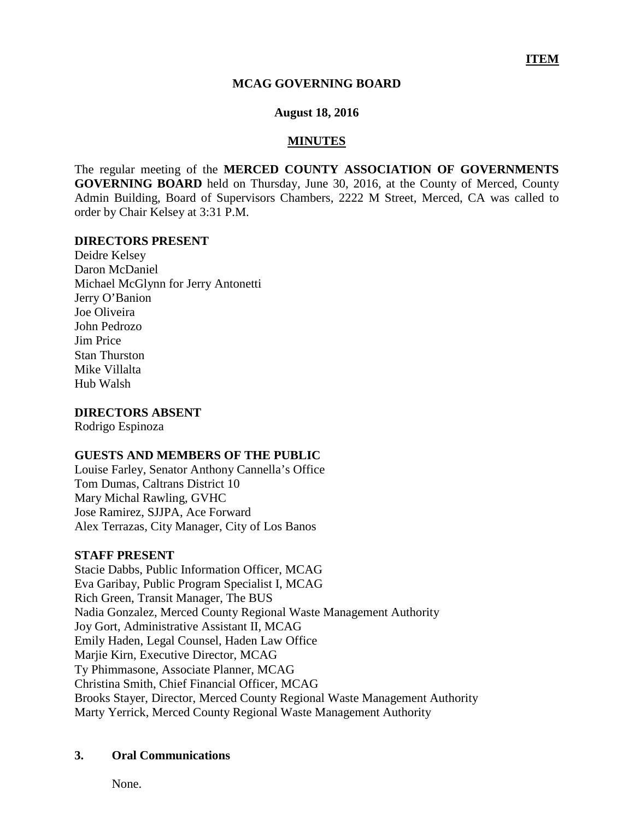### **MCAG GOVERNING BOARD**

#### **August 18, 2016**

### **MINUTES**

The regular meeting of the **MERCED COUNTY ASSOCIATION OF GOVERNMENTS GOVERNING BOARD** held on Thursday, June 30, 2016, at the County of Merced, County Admin Building, Board of Supervisors Chambers, 2222 M Street, Merced, CA was called to order by Chair Kelsey at 3:31 P.M.

#### **DIRECTORS PRESENT**

Deidre Kelsey Daron McDaniel Michael McGlynn for Jerry Antonetti Jerry O'Banion Joe Oliveira John Pedrozo Jim Price Stan Thurston Mike Villalta Hub Walsh

**DIRECTORS ABSENT**

Rodrigo Espinoza

#### **GUESTS AND MEMBERS OF THE PUBLIC**

Louise Farley, Senator Anthony Cannella's Office Tom Dumas, Caltrans District 10 Mary Michal Rawling, GVHC Jose Ramirez, SJJPA, Ace Forward Alex Terrazas, City Manager, City of Los Banos

#### **STAFF PRESENT**

Stacie Dabbs, Public Information Officer, MCAG Eva Garibay, Public Program Specialist I, MCAG Rich Green, Transit Manager, The BUS Nadia Gonzalez, Merced County Regional Waste Management Authority Joy Gort, Administrative Assistant II, MCAG Emily Haden, Legal Counsel, Haden Law Office Marjie Kirn, Executive Director, MCAG Ty Phimmasone, Associate Planner, MCAG Christina Smith, Chief Financial Officer, MCAG Brooks Stayer, Director, Merced County Regional Waste Management Authority Marty Yerrick, Merced County Regional Waste Management Authority

## **3. Oral Communications**

None.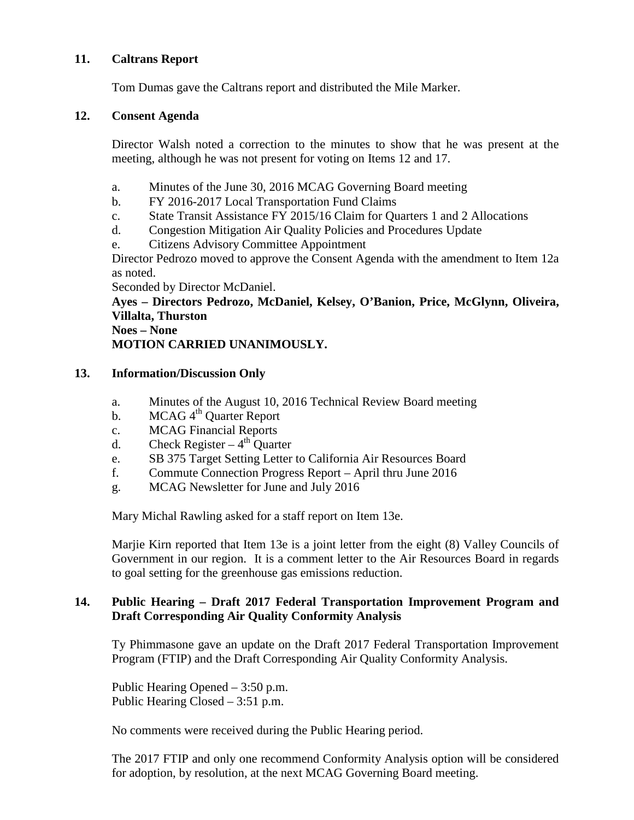# **11. Caltrans Report**

Tom Dumas gave the Caltrans report and distributed the Mile Marker.

# **12. Consent Agenda**

Director Walsh noted a correction to the minutes to show that he was present at the meeting, although he was not present for voting on Items 12 and 17.

- a. Minutes of the June 30, 2016 MCAG Governing Board meeting
- b. FY 2016-2017 Local Transportation Fund Claims
- c. State Transit Assistance FY 2015/16 Claim for Quarters 1 and 2 Allocations
- d. Congestion Mitigation Air Quality Policies and Procedures Update
- e. Citizens Advisory Committee Appointment

Director Pedrozo moved to approve the Consent Agenda with the amendment to Item 12a as noted.

Seconded by Director McDaniel.

**Ayes – Directors Pedrozo, McDaniel, Kelsey, O'Banion, Price, McGlynn, Oliveira, Villalta, Thurston**

**Noes – None MOTION CARRIED UNANIMOUSLY.**

# **13. Information/Discussion Only**

- a. Minutes of the August 10, 2016 Technical Review Board meeting
- b. MCAG 4<sup>th</sup> Quarter Report
- c. MCAG Financial Reports
- d. Check Register  $4<sup>th</sup>$  Quarter
- e. SB 375 Target Setting Letter to California Air Resources Board
- f. Commute Connection Progress Report April thru June 2016
- g. MCAG Newsletter for June and July 2016

Mary Michal Rawling asked for a staff report on Item 13e.

Marjie Kirn reported that Item 13e is a joint letter from the eight (8) Valley Councils of Government in our region. It is a comment letter to the Air Resources Board in regards to goal setting for the greenhouse gas emissions reduction.

# **14. Public Hearing – Draft 2017 Federal Transportation Improvement Program and Draft Corresponding Air Quality Conformity Analysis**

Ty Phimmasone gave an update on the Draft 2017 Federal Transportation Improvement Program (FTIP) and the Draft Corresponding Air Quality Conformity Analysis.

Public Hearing Opened – 3:50 p.m. Public Hearing Closed – 3:51 p.m.

No comments were received during the Public Hearing period.

The 2017 FTIP and only one recommend Conformity Analysis option will be considered for adoption, by resolution, at the next MCAG Governing Board meeting.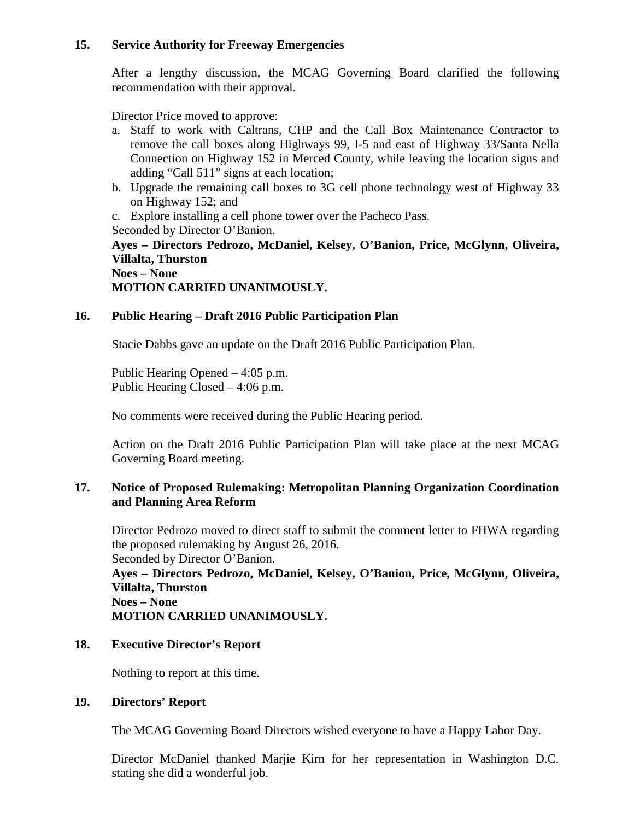# **15. Service Authority for Freeway Emergencies**

After a lengthy discussion, the MCAG Governing Board clarified the following recommendation with their approval.

Director Price moved to approve:

- a. Staff to work with Caltrans, CHP and the Call Box Maintenance Contractor to remove the call boxes along Highways 99, I-5 and east of Highway 33/Santa Nella Connection on Highway 152 in Merced County, while leaving the location signs and adding "Call 511" signs at each location;
- b. Upgrade the remaining call boxes to 3G cell phone technology west of Highway 33 on Highway 152; and

c. Explore installing a cell phone tower over the Pacheco Pass. Seconded by Director O'Banion.

**Ayes – Directors Pedrozo, McDaniel, Kelsey, O'Banion, Price, McGlynn, Oliveira, Villalta, Thurston Noes – None**

**MOTION CARRIED UNANIMOUSLY.**

# **16. Public Hearing – Draft 2016 Public Participation Plan**

Stacie Dabbs gave an update on the Draft 2016 Public Participation Plan.

Public Hearing Opened – 4:05 p.m. Public Hearing Closed – 4:06 p.m.

No comments were received during the Public Hearing period.

Action on the Draft 2016 Public Participation Plan will take place at the next MCAG Governing Board meeting.

# **17. Notice of Proposed Rulemaking: Metropolitan Planning Organization Coordination and Planning Area Reform**

Director Pedrozo moved to direct staff to submit the comment letter to FHWA regarding the proposed rulemaking by August 26, 2016. Seconded by Director O'Banion.

**Ayes – Directors Pedrozo, McDaniel, Kelsey, O'Banion, Price, McGlynn, Oliveira, Villalta, Thurston Noes – None**

**MOTION CARRIED UNANIMOUSLY.**

## **18. Executive Director's Report**

Nothing to report at this time.

## **19. Directors' Report**

The MCAG Governing Board Directors wished everyone to have a Happy Labor Day.

Director McDaniel thanked Marjie Kirn for her representation in Washington D.C. stating she did a wonderful job.